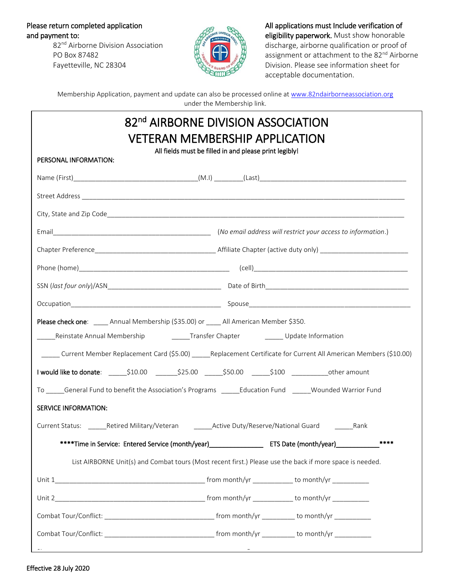

Please return completed application All applications must Include verification of and payment to: **eligibility paperwork.** Must show honorable eligibility paperwork. Must show honorable and payment to: **eligibility paperwork** are by sociation of proof of discharge, airborne qualification or proof of discharge, airborne qualification or proof of PO Box 87482 **assignment or attachment to the 82<sup>nd</sup> Airborne** Fayetteville, NC 28304  $\mathbb{R}^{\mathbb{Z}_{q}}$  Division. Please see information sheet for acceptable documentation.

Membership Application, payment and update can also be processed online at [www.82ndairborneassociation.org](http://www.82ndairborneassociation.org/) under the Membership link.

| 82 <sup>nd</sup> AIRBORNE DIVISION ASSOCIATION<br><b>VETERAN MEMBERSHIP APPLICATION</b><br>All fields must be filled in and please print legibly! |  |                                      |
|---------------------------------------------------------------------------------------------------------------------------------------------------|--|--------------------------------------|
| PERSONAL INFORMATION:                                                                                                                             |  |                                      |
|                                                                                                                                                   |  |                                      |
|                                                                                                                                                   |  |                                      |
|                                                                                                                                                   |  |                                      |
|                                                                                                                                                   |  |                                      |
|                                                                                                                                                   |  |                                      |
|                                                                                                                                                   |  |                                      |
|                                                                                                                                                   |  |                                      |
|                                                                                                                                                   |  |                                      |
| Please check one: _____ Annual Membership (\$35.00) or ____ All American Member \$350.                                                            |  |                                      |
|                                                                                                                                                   |  |                                      |
| Current Member Replacement Card (\$5.00) ______ Replacement Certificate for Current All American Members (\$10.00)                                |  |                                      |
| I would like to donate: ______\$10.00 _______\$25.00 ______\$50.00 ______\$100 ____________other amount                                           |  |                                      |
| To _____General Fund to benefit the Association's Programs ______Education Fund _____Wounded Warrior Fund                                         |  |                                      |
| <b>SERVICE INFORMATION:</b>                                                                                                                       |  |                                      |
| Current Status: _______Retired Military/Veteran ___________Active Duty/Reserve/National Guard __________Rank                                      |  |                                      |
| ****Time in Service: Entered Service (month/year) _______________                                                                                 |  | ****<br>ETS Date (month/year)_______ |
| List AIRBORNE Unit(s) and Combat tours (Most recent first.) Please use the back if more space is needed.                                          |  |                                      |
|                                                                                                                                                   |  |                                      |
|                                                                                                                                                   |  |                                      |
|                                                                                                                                                   |  |                                      |
|                                                                                                                                                   |  |                                      |

 $S$  is the contribution of  $\mathcal{S}$  and  $\mathcal{S}$  are defined by the contribution of  $\mathcal{S}$  and  $\mathcal{S}$